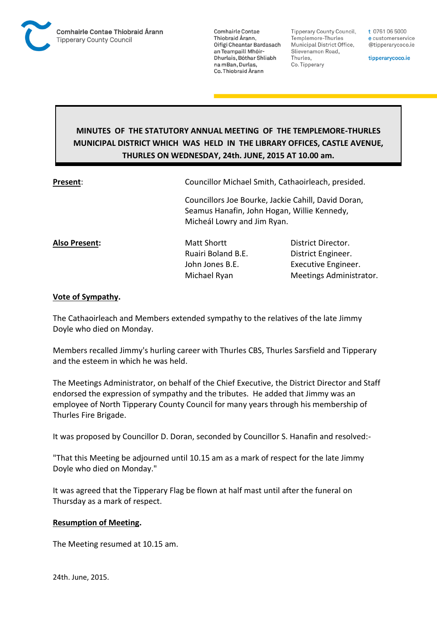

**Comhairle Contae** Thiobraid Árann. Oifigí Cheantar Bardasach an Teampaill Mhóir-Dhurlais, Bóthar Shliabh na mBan, Durlas. Co. Thiobraid Árann

**Tipperary County Council,** Templemore-Thurles Municipal District Office, Slievenamon Road, Thurles, Co. Tipperary

t 0761 06 5000 e customerservice @tipperarycoco.ie

tipperarycoco.ie

# **MINUTES OF THE STATUTORY ANNUAL MEETING OF THE TEMPLEMORE-THURLES MUNICIPAL DISTRICT WHICH WAS HELD IN THE LIBRARY OFFICES, CASTLE AVENUE, THURLES ON WEDNESDAY, 24th. JUNE, 2015 AT 10.00 am.**

**Present**: Councillor Michael Smith, Cathaoirleach, presided.

Councillors Joe Bourke, Jackie Cahill, David Doran, Seamus Hanafin, John Hogan, Willie Kennedy, Micheál Lowry and Jim Ryan.

**Also Present:** Matt Shortt **District Director.** Ruairi Boland B.E. District Engineer.

John Jones B.E. **Executive Engineer.** Michael Ryan Meetings Administrator.

## **Vote of Sympathy.**

The Cathaoirleach and Members extended sympathy to the relatives of the late Jimmy Doyle who died on Monday.

Members recalled Jimmy's hurling career with Thurles CBS, Thurles Sarsfield and Tipperary and the esteem in which he was held.

The Meetings Administrator, on behalf of the Chief Executive, the District Director and Staff endorsed the expression of sympathy and the tributes. He added that Jimmy was an employee of North Tipperary County Council for many years through his membership of Thurles Fire Brigade.

It was proposed by Councillor D. Doran, seconded by Councillor S. Hanafin and resolved:-

"That this Meeting be adjourned until 10.15 am as a mark of respect for the late Jimmy Doyle who died on Monday."

It was agreed that the Tipperary Flag be flown at half mast until after the funeral on Thursday as a mark of respect.

### **Resumption of Meeting.**

The Meeting resumed at 10.15 am.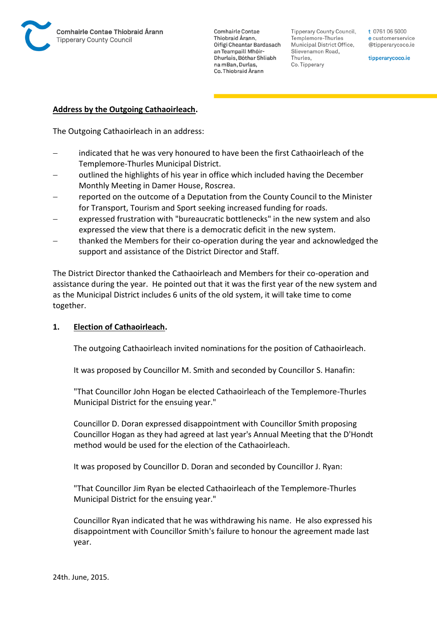

**Comhairle Contae** Thiobraid Árann. Oifigí Cheantar Bardasach an Teampaill Mhóir-Dhurlais, Bóthar Shliabh na mBan, Durlas. Co. Thiobraid Árann

Tipperary County Council. Templemore-Thurles Municipal District Office, Slievenamon Road, Thurles, Co. Tipperary

t 0761 06 5000 e customerservice @tipperarycoco.ie

tipperarycoco.ie

### **Address by the Outgoing Cathaoirleach.**

The Outgoing Cathaoirleach in an address:

- indicated that he was very honoured to have been the first Cathaoirleach of the Templemore-Thurles Municipal District.
- outlined the highlights of his year in office which included having the December Monthly Meeting in Damer House, Roscrea.
- reported on the outcome of a Deputation from the County Council to the Minister for Transport, Tourism and Sport seeking increased funding for roads.
- expressed frustration with "bureaucratic bottlenecks" in the new system and also expressed the view that there is a democratic deficit in the new system.
- thanked the Members for their co-operation during the year and acknowledged the support and assistance of the District Director and Staff.

The District Director thanked the Cathaoirleach and Members for their co-operation and assistance during the year. He pointed out that it was the first year of the new system and as the Municipal District includes 6 units of the old system, it will take time to come together.

### **1. Election of Cathaoirleach.**

The outgoing Cathaoirleach invited nominations for the position of Cathaoirleach.

It was proposed by Councillor M. Smith and seconded by Councillor S. Hanafin:

"That Councillor John Hogan be elected Cathaoirleach of the Templemore-Thurles Municipal District for the ensuing year."

Councillor D. Doran expressed disappointment with Councillor Smith proposing Councillor Hogan as they had agreed at last year's Annual Meeting that the D'Hondt method would be used for the election of the Cathaoirleach.

It was proposed by Councillor D. Doran and seconded by Councillor J. Ryan:

"That Councillor Jim Ryan be elected Cathaoirleach of the Templemore-Thurles Municipal District for the ensuing year."

Councillor Ryan indicated that he was withdrawing his name. He also expressed his disappointment with Councillor Smith's failure to honour the agreement made last year.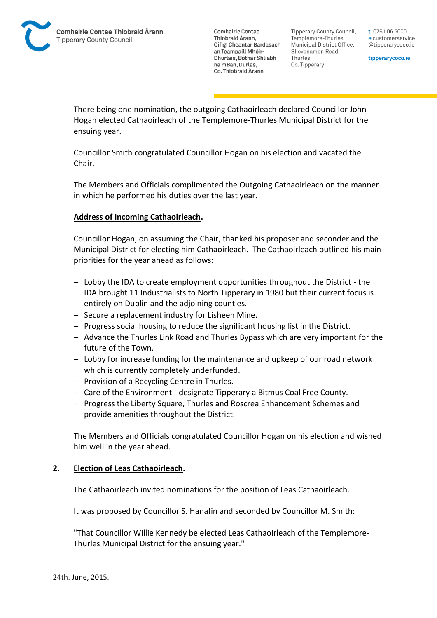**Comhairle Contae** Thiobraid Árann. Oifigí Cheantar Bardasach an Teampaill Mhóir-Dhurlais, Bóthar Shliabh na mBan, Durlas. Co. Thiobraid Árann

Tipperary County Council. Templemore-Thurles Municipal District Office, Slievenamon Road, Thurles, Co. Tipperary

t 0761 06 5000 e customerservice @tipperarycoco.ie

tipperarycoco.ie

There being one nomination, the outgoing Cathaoirleach declared Councillor John Hogan elected Cathaoirleach of the Templemore-Thurles Municipal District for the ensuing year.

Councillor Smith congratulated Councillor Hogan on his election and vacated the Chair.

The Members and Officials complimented the Outgoing Cathaoirleach on the manner in which he performed his duties over the last year.

## **Address of Incoming Cathaoirleach.**

Councillor Hogan, on assuming the Chair, thanked his proposer and seconder and the Municipal District for electing him Cathaoirleach. The Cathaoirleach outlined his main priorities for the year ahead as follows:

- Lobby the IDA to create employment opportunities throughout the District the IDA brought 11 Industrialists to North Tipperary in 1980 but their current focus is entirely on Dublin and the adjoining counties.
- $-$  Secure a replacement industry for Lisheen Mine.
- Progress social housing to reduce the significant housing list in the District.
- Advance the Thurles Link Road and Thurles Bypass which are very important for the future of the Town.
- Lobby for increase funding for the maintenance and upkeep of our road network which is currently completely underfunded.
- $-$  Provision of a Recycling Centre in Thurles.
- Care of the Environment designate Tipperary a Bitmus Coal Free County.
- Progress the Liberty Square, Thurles and Roscrea Enhancement Schemes and provide amenities throughout the District.

The Members and Officials congratulated Councillor Hogan on his election and wished him well in the year ahead.

### **2. Election of Leas Cathaoirleach.**

The Cathaoirleach invited nominations for the position of Leas Cathaoirleach.

It was proposed by Councillor S. Hanafin and seconded by Councillor M. Smith:

"That Councillor Willie Kennedy be elected Leas Cathaoirleach of the Templemore-Thurles Municipal District for the ensuing year."